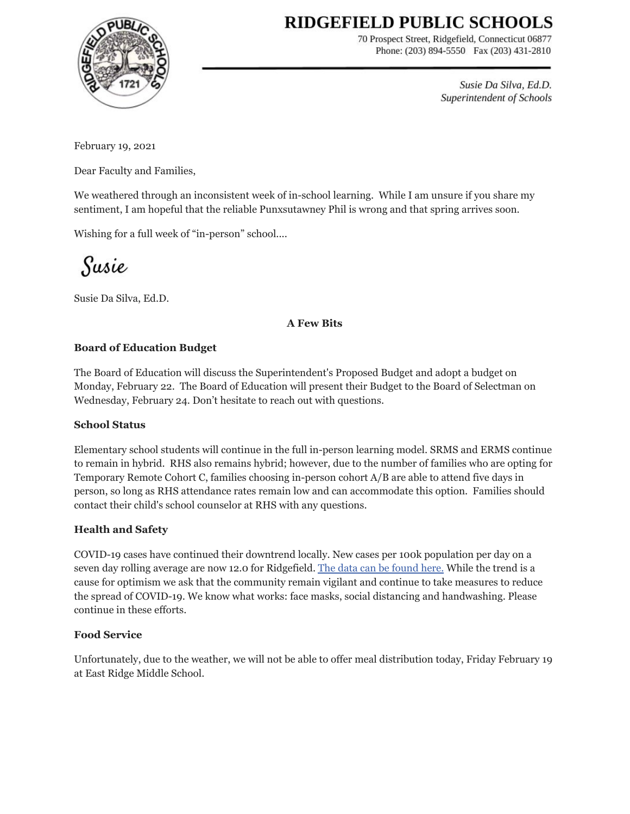# RIDGEFIELD PUBLIC SCHOOLS



70 Prospect Street, Ridgefield, Connecticut 06877 Phone: (203) 894-5550 Fax (203) 431-2810

> Susie Da Silva, Ed.D. Superintendent of Schools

February 19, 2021

Dear Faculty and Families,

We weathered through an inconsistent week of in-school learning. While I am unsure if you share my sentiment, I am hopeful that the reliable Punxsutawney Phil is wrong and that spring arrives soon.

Wishing for a full week of "in-person" school....

Susie

Susie Da Silva, Ed.D.

## **A Few Bits**

## **Board of Education Budget**

The Board of Education will discuss the Superintendent's Proposed Budget and adopt a budget on Monday, February 22. The Board of Education will present their Budget to the Board of Selectman on Wednesday, February 24. Don't hesitate to reach out with questions.

#### **School Status**

Elementary school students will continue in the full in-person learning model. SRMS and ERMS continue to remain in hybrid. RHS also remains hybrid; however, due to the number of families who are opting for Temporary Remote Cohort C, families choosing in-person cohort A/B are able to attend five days in person, so long as RHS attendance rates remain low and can accommodate this option. Families should contact their child's school counselor at RHS with any questions.

#### **Health and Safety**

COVID-19 cases have continued their downtrend locally. New cases per 100k population per day on a seven day rolling average are now 12.0 for Ridgefield. The data can be [found](https://www.ridgefieldct.org/home/urgent-alerts/covid-updates) here. While the trend is a cause for optimism we ask that the community remain vigilant and continue to take measures to reduce the spread of COVID-19. We know what works: face masks, social distancing and handwashing. Please continue in these efforts.

#### **Food Service**

Unfortunately, due to the weather, we will not be able to offer meal distribution today, Friday February 19 at East Ridge Middle School.